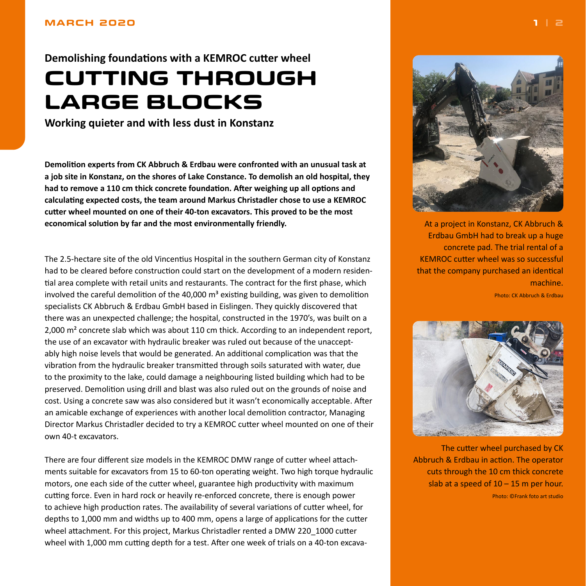## <span id="page-0-0"></span>**MARCH 2020**

**Demolishing foundations with a KEMROC cutter wheel CUTTING THROUGH LARGE BLOCKS**

**Working quieter and with less dust in Konstanz**

**Demolition experts from CK Abbruch & Erdbau were confronted with an unusual task at a job site in Konstanz, on the shores of Lake Constance. To demolish an old hospital, they had to remove a 110 cm thick concrete foundation. After weighing up all options and calculating expected costs, the team around Markus Christadler chose to use a KEMROC cutter wheel mounted on one of their 40-ton excavators. This proved to be the most economical solution by far and the most environmentally friendly.**

The 2.5-hectare site of the old Vincentius Hospital in the southern German city of Konstanz had to be cleared before construction could start on the development of a modern residential area complete with retail units and restaurants. The contract for the first phase, which involved the careful demolition of the 40,000  $\text{m}^3$  existing building, was given to demolition specialists CK Abbruch & Erdbau GmbH based in Eislingen. They quickly discovered that there was an unexpected challenge; the hospital, constructed in the 1970's, was built on a  $2,000$  m<sup>2</sup> concrete slab which was about 110 cm thick. According to an independent report, the use of an excavator with hydraulic breaker was ruled out because of the unacceptably high noise levels that would be generated. An additional complication was that the vibration from the hydraulic breaker transmitted through soils saturated with water, due to the proximity to the lake, could damage a neighbouring listed building which had to be preserved. Demolition using drill and blast was also ruled out on the grounds of noise and cost. Using a concrete saw was also considered but it wasn't economically acceptable. After an amicable exchange of experiences with another local demolition contractor, Managing Director Markus Christadler decided to try a KEMROC cutter wheel mounted on one of their own 40-t excavators.

There are four different size models in the KEMROC DMW range of cutter wheel attachments suitable for excavators from 15 to 60-ton operating weight. Two high torque hydraulic motors, one each side of the cutter wheel, guarantee high productivity with maximum cutting force. Even in hard rock or heavily re-enforced concrete, there is enough power to achieve high production rates. The availability of several variations of cutter wheel, for depths to 1,000 mm and widths up to 400 mm, opens a large of applications for the cutter wheel attachment. For this project, Markus Christadler rented a DMW 220\_1000 cutter wheel with 1,000 mm cutting depth for a test. After one week of trials on a 40-ton excava-



At a project in Konstanz, CK Abbruch & Erdbau GmbH had to break up a huge concrete pad. The trial rental of a KEMROC cutter wheel was so successful that the company purchased an identical machine.

Photo: CK Abbruch & Erdbau



The cutter wheel purchased by CK Abbruch & Erdbau in action. The operator cuts through the 10 cm thick concrete slab at a speed of  $10 - 15$  m per hour. Photo: ©Frank foto art studio